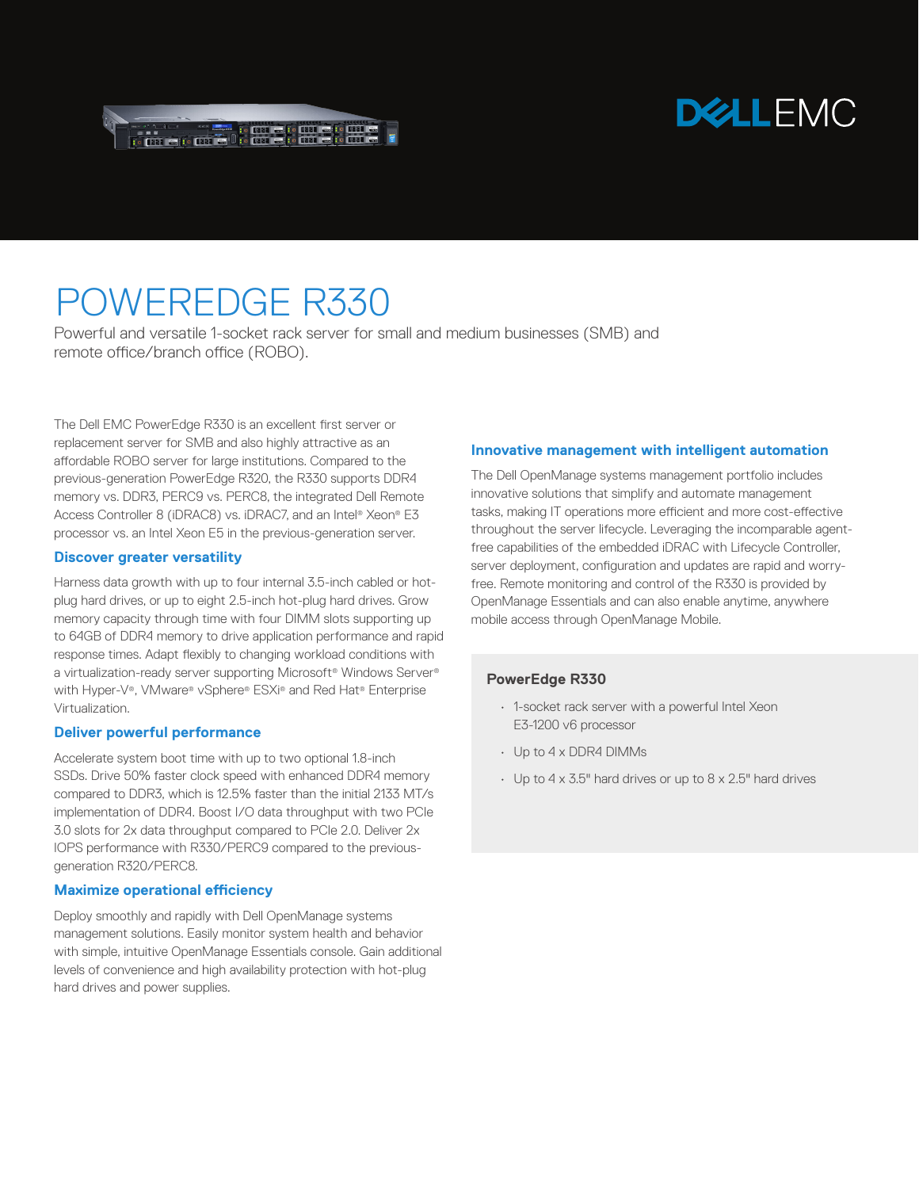

# **DELLEMC**

# POWEREDGE R330

Powerful and versatile 1-socket rack server for small and medium businesses (SMB) and remote office/branch office (ROBO).

The Dell EMC PowerEdge R330 is an excellent first server or replacement server for SMB and also highly attractive as an affordable ROBO server for large institutions. Compared to the previous-generation PowerEdge R320, the R330 supports DDR4 memory vs. DDR3, PERC9 vs. PERC8, the integrated Dell Remote Access Controller 8 (iDRAC8) vs. iDRAC7, and an Intel® Xeon® E3 processor vs. an Intel Xeon E5 in the previous-generation server.

# **Discover greater versatility**

Harness data growth with up to four internal 3.5-inch cabled or hotplug hard drives, or up to eight 2.5-inch hot-plug hard drives. Grow memory capacity through time with four DIMM slots supporting up to 64GB of DDR4 memory to drive application performance and rapid response times. Adapt flexibly to changing workload conditions with a virtualization-ready server supporting Microsoft® Windows Server® with Hyper-V®, VMware® vSphere® ESXi® and Red Hat® Enterprise Virtualization.

#### **Deliver powerful performance**

Accelerate system boot time with up to two optional 1.8-inch SSDs. Drive 50% faster clock speed with enhanced DDR4 memory compared to DDR3, which is 12.5% faster than the initial 2133 MT/s implementation of DDR4. Boost I/O data throughput with two PCIe 3.0 slots for 2x data throughput compared to PCIe 2.0. Deliver 2x IOPS performance with R330/PERC9 compared to the previousgeneration R320/PERC8.

# **Maximize operational efficiency**

Deploy smoothly and rapidly with Dell OpenManage systems management solutions. Easily monitor system health and behavior with simple, intuitive OpenManage Essentials console. Gain additional levels of convenience and high availability protection with hot-plug hard drives and power supplies.

#### **Innovative management with intelligent automation**

The Dell OpenManage systems management portfolio includes innovative solutions that simplify and automate management tasks, making IT operations more efficient and more cost-effective throughout the server lifecycle. Leveraging the incomparable agentfree capabilities of the embedded iDRAC with Lifecycle Controller, server deployment, configuration and updates are rapid and worryfree. Remote monitoring and control of the R330 is provided by OpenManage Essentials and can also enable anytime, anywhere mobile access through OpenManage Mobile.

# **PowerEdge R330**

- 1-socket rack server with a powerful Intel Xeon E3-1200 v6 processor
- Up to 4 x DDR4 DIMMs
- $\cdot$  Up to 4 x 3.5" hard drives or up to 8 x 2.5" hard drives